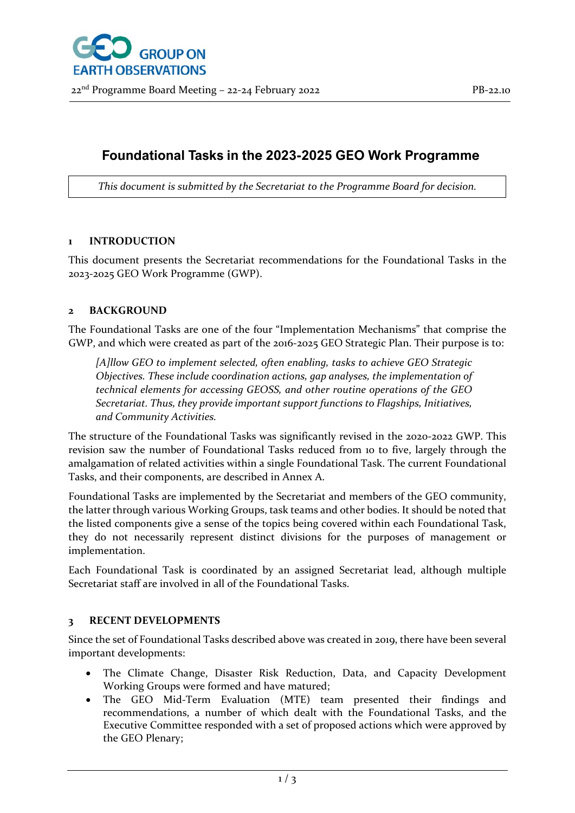

# **Foundational Tasks in the 2023-2025 GEO Work Programme**

*This document is submitted by the Secretariat to the Programme Board for decision.*

# **1 INTRODUCTION**

This document presents the Secretariat recommendations for the Foundational Tasks in the 2023-2025 GEO Work Programme (GWP).

# **2 BACKGROUND**

The Foundational Tasks are one of the four "Implementation Mechanisms" that comprise the GWP, and which were created as part of the 2016-2025 GEO Strategic Plan. Their purpose is to:

*[A]llow GEO to implement selected, often enabling, tasks to achieve GEO Strategic Objectives. These include coordination actions, gap analyses, the implementation of technical elements for accessing GEOSS, and other routine operations of the GEO Secretariat. Thus, they provide important support functions to Flagships, Initiatives, and Community Activities.*

The structure of the Foundational Tasks was significantly revised in the 2020-2022 GWP. This revision saw the number of Foundational Tasks reduced from 10 to five, largely through the amalgamation of related activities within a single Foundational Task. The current Foundational Tasks, and their components, are described in Annex A.

Foundational Tasks are implemented by the Secretariat and members of the GEO community, the latter through various Working Groups, task teams and other bodies. It should be noted that the listed components give a sense of the topics being covered within each Foundational Task, they do not necessarily represent distinct divisions for the purposes of management or implementation.

Each Foundational Task is coordinated by an assigned Secretariat lead, although multiple Secretariat staff are involved in all of the Foundational Tasks.

# **3 RECENT DEVELOPMENTS**

Since the set of Foundational Tasks described above was created in 2019, there have been several important developments:

- The Climate Change, Disaster Risk Reduction, Data, and Capacity Development Working Groups were formed and have matured;
- The GEO Mid-Term Evaluation (MTE) team presented their findings and recommendations, a number of which dealt with the Foundational Tasks, and the Executive Committee responded with a set of proposed actions which were approved by the GEO Plenary;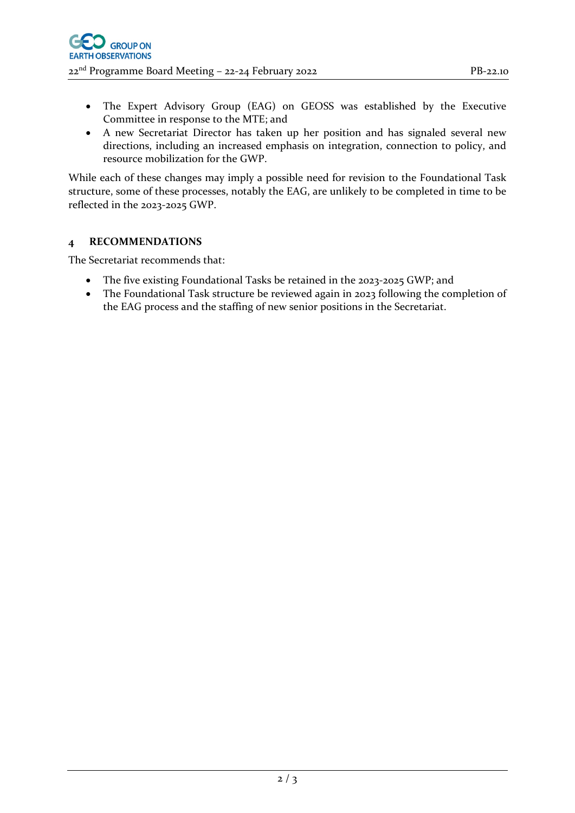- The Expert Advisory Group (EAG) on GEOSS was established by the Executive Committee in response to the MTE; and
- A new Secretariat Director has taken up her position and has signaled several new directions, including an increased emphasis on integration, connection to policy, and resource mobilization for the GWP.

While each of these changes may imply a possible need for revision to the Foundational Task structure, some of these processes, notably the EAG, are unlikely to be completed in time to be reflected in the 2023-2025 GWP.

# **4 RECOMMENDATIONS**

The Secretariat recommends that:

- The five existing Foundational Tasks be retained in the 2023-2025 GWP; and
- The Foundational Task structure be reviewed again in 2023 following the completion of the EAG process and the staffing of new senior positions in the Secretariat.